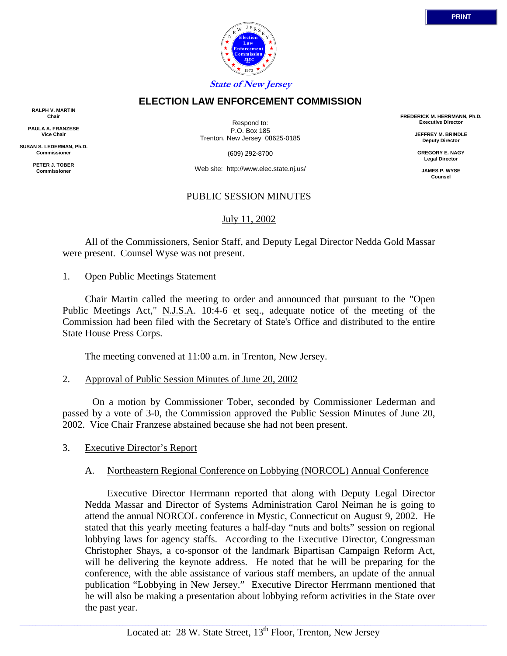

## **ELECTION LAW ENFORCEMENT COMMISSION**

**RALPH V. MARTIN Chair**

**PAULA A. FRANZESE Vice Chair**

**SUSAN S. LEDERMAN, Ph.D. Commissioner**

> **PETER J. TOBER Commissioner**

Respond to: P.O. Box 185 Trenton, New Jersey 08625-0185

(609) 292-8700

Web site: http://www.elec.state.nj.us/

# PUBLIC SESSION MINUTES

# July 11, 2002

 All of the Commissioners, Senior Staff, and Deputy Legal Director Nedda Gold Massar were present. Counsel Wyse was not present.

### 1. Open Public Meetings Statement

 Chair Martin called the meeting to order and announced that pursuant to the "Open Public Meetings Act," N.J.S.A. 10:4-6 et seq., adequate notice of the meeting of the Commission had been filed with the Secretary of State's Office and distributed to the entire State House Press Corps.

The meeting convened at 11:00 a.m. in Trenton, New Jersey.

#### 2. Approval of Public Session Minutes of June 20, 2002

 On a motion by Commissioner Tober, seconded by Commissioner Lederman and passed by a vote of 3-0, the Commission approved the Public Session Minutes of June 20, 2002. Vice Chair Franzese abstained because she had not been present.

### 3. Executive Director's Report

### A. Northeastern Regional Conference on Lobbying (NORCOL) Annual Conference

 Executive Director Herrmann reported that along with Deputy Legal Director Nedda Massar and Director of Systems Administration Carol Neiman he is going to attend the annual NORCOL conference in Mystic, Connecticut on August 9, 2002. He stated that this yearly meeting features a half-day "nuts and bolts" session on regional lobbying laws for agency staffs. According to the Executive Director, Congressman Christopher Shays, a co-sponsor of the landmark Bipartisan Campaign Reform Act, will be delivering the keynote address. He noted that he will be preparing for the conference, with the able assistance of various staff members, an update of the annual publication "Lobbying in New Jersey." Executive Director Herrmann mentioned that he will also be making a presentation about lobbying reform activities in the State over the past year.

**FREDERICK M. HERRMANN, Ph.D. Executive Director JEFFREY M. BRINDLE Deputy Director GREGORY E. NAGY Legal Director JAMES P. WYSE Counsel**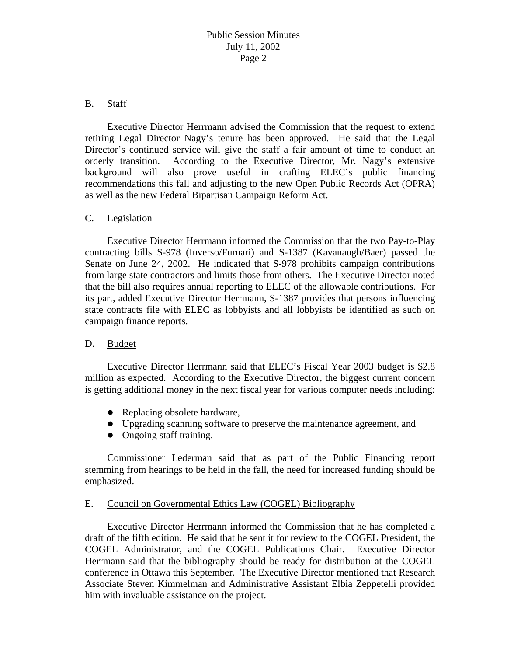### B. Staff

 Executive Director Herrmann advised the Commission that the request to extend retiring Legal Director Nagy's tenure has been approved. He said that the Legal Director's continued service will give the staff a fair amount of time to conduct an orderly transition. According to the Executive Director, Mr. Nagy's extensive background will also prove useful in crafting ELEC's public financing recommendations this fall and adjusting to the new Open Public Records Act (OPRA) as well as the new Federal Bipartisan Campaign Reform Act.

#### C. Legislation

 Executive Director Herrmann informed the Commission that the two Pay-to-Play contracting bills S-978 (Inverso/Furnari) and S-1387 (Kavanaugh/Baer) passed the Senate on June 24, 2002. He indicated that S-978 prohibits campaign contributions from large state contractors and limits those from others. The Executive Director noted that the bill also requires annual reporting to ELEC of the allowable contributions. For its part, added Executive Director Herrmann, S-1387 provides that persons influencing state contracts file with ELEC as lobbyists and all lobbyists be identified as such on campaign finance reports.

### D. Budget

 Executive Director Herrmann said that ELEC's Fiscal Year 2003 budget is \$2.8 million as expected. According to the Executive Director, the biggest current concern is getting additional money in the next fiscal year for various computer needs including:

- $\bullet$  Replacing obsolete hardware,
- Upgrading scanning software to preserve the maintenance agreement, and
- $\bullet$  Ongoing staff training.

 Commissioner Lederman said that as part of the Public Financing report stemming from hearings to be held in the fall, the need for increased funding should be emphasized.

### E. Council on Governmental Ethics Law (COGEL) Bibliography

 Executive Director Herrmann informed the Commission that he has completed a draft of the fifth edition. He said that he sent it for review to the COGEL President, the COGEL Administrator, and the COGEL Publications Chair. Executive Director Herrmann said that the bibliography should be ready for distribution at the COGEL conference in Ottawa this September. The Executive Director mentioned that Research Associate Steven Kimmelman and Administrative Assistant Elbia Zeppetelli provided him with invaluable assistance on the project.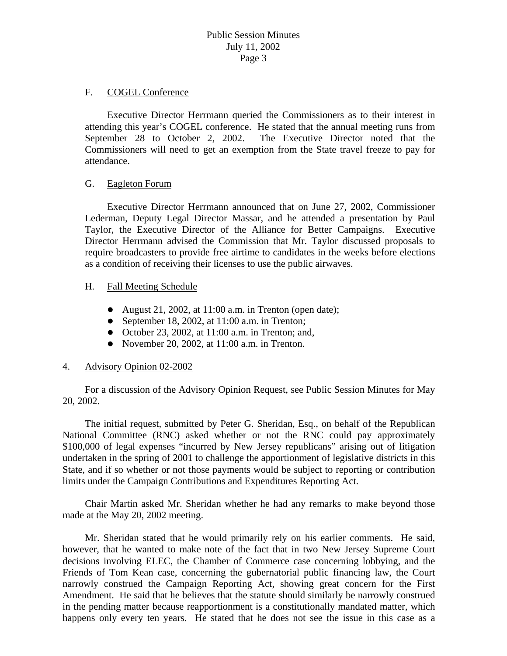#### F. COGEL Conference

 Executive Director Herrmann queried the Commissioners as to their interest in attending this year's COGEL conference. He stated that the annual meeting runs from September 28 to October 2, 2002. The Executive Director noted that the Commissioners will need to get an exemption from the State travel freeze to pay for attendance.

#### G. Eagleton Forum

 Executive Director Herrmann announced that on June 27, 2002, Commissioner Lederman, Deputy Legal Director Massar, and he attended a presentation by Paul Taylor, the Executive Director of the Alliance for Better Campaigns. Executive Director Herrmann advised the Commission that Mr. Taylor discussed proposals to require broadcasters to provide free airtime to candidates in the weeks before elections as a condition of receiving their licenses to use the public airwaves.

### H. Fall Meeting Schedule

- August 21, 2002, at  $11:00$  a.m. in Trenton (open date);
- September 18, 2002, at  $11:00$  a.m. in Trenton;
- $\bullet$  October 23, 2002, at 11:00 a.m. in Trenton; and,
- November 20, 2002, at  $11:00$  a.m. in Trenton.

### 4. Advisory Opinion 02-2002

 For a discussion of the Advisory Opinion Request, see Public Session Minutes for May 20, 2002.

 The initial request, submitted by Peter G. Sheridan, Esq., on behalf of the Republican National Committee (RNC) asked whether or not the RNC could pay approximately \$100,000 of legal expenses "incurred by New Jersey republicans" arising out of litigation undertaken in the spring of 2001 to challenge the apportionment of legislative districts in this State, and if so whether or not those payments would be subject to reporting or contribution limits under the Campaign Contributions and Expenditures Reporting Act.

 Chair Martin asked Mr. Sheridan whether he had any remarks to make beyond those made at the May 20, 2002 meeting.

 Mr. Sheridan stated that he would primarily rely on his earlier comments. He said, however, that he wanted to make note of the fact that in two New Jersey Supreme Court decisions involving ELEC, the Chamber of Commerce case concerning lobbying, and the Friends of Tom Kean case, concerning the gubernatorial public financing law, the Court narrowly construed the Campaign Reporting Act, showing great concern for the First Amendment. He said that he believes that the statute should similarly be narrowly construed in the pending matter because reapportionment is a constitutionally mandated matter, which happens only every ten years. He stated that he does not see the issue in this case as a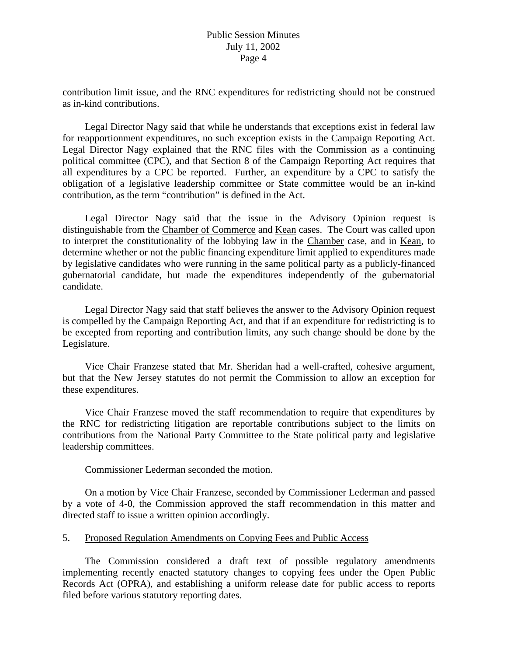contribution limit issue, and the RNC expenditures for redistricting should not be construed as in-kind contributions.

 Legal Director Nagy said that while he understands that exceptions exist in federal law for reapportionment expenditures, no such exception exists in the Campaign Reporting Act. Legal Director Nagy explained that the RNC files with the Commission as a continuing political committee (CPC), and that Section 8 of the Campaign Reporting Act requires that all expenditures by a CPC be reported. Further, an expenditure by a CPC to satisfy the obligation of a legislative leadership committee or State committee would be an in-kind contribution, as the term "contribution" is defined in the Act.

 Legal Director Nagy said that the issue in the Advisory Opinion request is distinguishable from the Chamber of Commerce and Kean cases. The Court was called upon to interpret the constitutionality of the lobbying law in the Chamber case, and in Kean, to determine whether or not the public financing expenditure limit applied to expenditures made by legislative candidates who were running in the same political party as a publicly-financed gubernatorial candidate, but made the expenditures independently of the gubernatorial candidate.

 Legal Director Nagy said that staff believes the answer to the Advisory Opinion request is compelled by the Campaign Reporting Act, and that if an expenditure for redistricting is to be excepted from reporting and contribution limits, any such change should be done by the Legislature.

 Vice Chair Franzese stated that Mr. Sheridan had a well-crafted, cohesive argument, but that the New Jersey statutes do not permit the Commission to allow an exception for these expenditures.

 Vice Chair Franzese moved the staff recommendation to require that expenditures by the RNC for redistricting litigation are reportable contributions subject to the limits on contributions from the National Party Committee to the State political party and legislative leadership committees.

Commissioner Lederman seconded the motion.

 On a motion by Vice Chair Franzese, seconded by Commissioner Lederman and passed by a vote of 4-0, the Commission approved the staff recommendation in this matter and directed staff to issue a written opinion accordingly.

## 5. Proposed Regulation Amendments on Copying Fees and Public Access

 The Commission considered a draft text of possible regulatory amendments implementing recently enacted statutory changes to copying fees under the Open Public Records Act (OPRA), and establishing a uniform release date for public access to reports filed before various statutory reporting dates.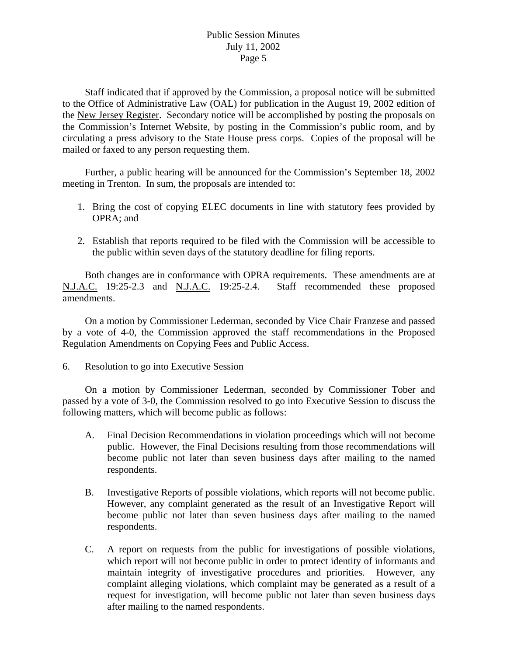Staff indicated that if approved by the Commission, a proposal notice will be submitted to the Office of Administrative Law (OAL) for publication in the August 19, 2002 edition of the New Jersey Register. Secondary notice will be accomplished by posting the proposals on the Commission's Internet Website, by posting in the Commission's public room, and by circulating a press advisory to the State House press corps. Copies of the proposal will be mailed or faxed to any person requesting them.

 Further, a public hearing will be announced for the Commission's September 18, 2002 meeting in Trenton. In sum, the proposals are intended to:

- 1. Bring the cost of copying ELEC documents in line with statutory fees provided by OPRA; and
- 2. Establish that reports required to be filed with the Commission will be accessible to the public within seven days of the statutory deadline for filing reports.

 Both changes are in conformance with OPRA requirements. These amendments are at N.J.A.C. 19:25-2.3 and N.J.A.C. 19:25-2.4. Staff recommended these proposed amendments.

 On a motion by Commissioner Lederman, seconded by Vice Chair Franzese and passed by a vote of 4-0, the Commission approved the staff recommendations in the Proposed Regulation Amendments on Copying Fees and Public Access.

6. Resolution to go into Executive Session

 On a motion by Commissioner Lederman, seconded by Commissioner Tober and passed by a vote of 3-0, the Commission resolved to go into Executive Session to discuss the following matters, which will become public as follows:

- A. Final Decision Recommendations in violation proceedings which will not become public. However, the Final Decisions resulting from those recommendations will become public not later than seven business days after mailing to the named respondents.
- B. Investigative Reports of possible violations, which reports will not become public. However, any complaint generated as the result of an Investigative Report will become public not later than seven business days after mailing to the named respondents.
- C. A report on requests from the public for investigations of possible violations, which report will not become public in order to protect identity of informants and maintain integrity of investigative procedures and priorities. However, any complaint alleging violations, which complaint may be generated as a result of a request for investigation, will become public not later than seven business days after mailing to the named respondents.